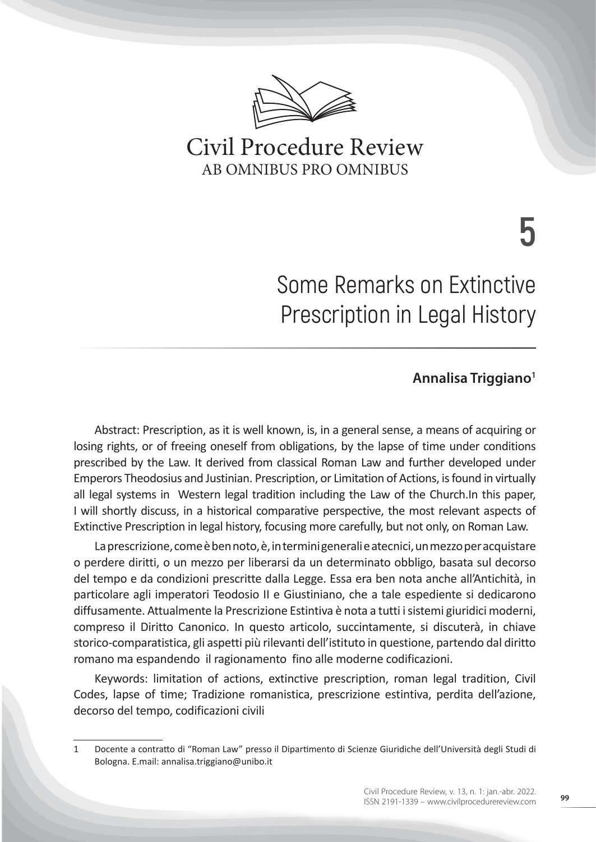

# Civil Procedure Review AB OMNIBUS PRO OMNIBUS

**5**

# Some Remarks on Extinctive Prescription in Legal History

# **Annalisa Triggiano1**

Abstract: Prescription, as it is well known, is, in a general sense, a means of acquiring or losing rights, or of freeing oneself from obligations, by the lapse of time under conditions prescribed by the Law. It derived from classical Roman Law and further developed under Emperors Theodosius and Justinian. Prescription, or Limitation of Actions, is found in virtually all legal systems in Western legal tradition including the Law of the Church.In this paper, I will shortly discuss, in a historical comparative perspective, the most relevant aspects of Extinctive Prescription in legal history, focusing more carefully, but not only, on Roman Law.

La prescrizione, come è ben noto, è, in termini generali e atecnici, un mezzo per acquistare o perdere diritti, o un mezzo per liberarsi da un determinato obbligo, basata sul decorso del tempo e da condizioni prescritte dalla Legge. Essa era ben nota anche all'Antichità, in particolare agli imperatori Teodosio II e Giustiniano, che a tale espediente si dedicarono diffusamente. Attualmente la Prescrizione Estintiva è nota a tutti i sistemi giuridici moderni, compreso il Diritto Canonico. In questo articolo, succintamente, si discuterà, in chiave storico-comparatistica, gli aspetti più rilevanti dell'istituto in questione, partendo dal diritto romano ma espandendo il ragionamento fino alle moderne codificazioni.

Keywords: limitation of actions, extinctive prescription, roman legal tradition, Civil Codes, lapse of time; Tradizione romanistica, prescrizione estintiva, perdita dell'azione, decorso del tempo, codificazioni civili

<sup>1</sup> Docente a contratto di "Roman Law" presso il Dipartimento di Scienze Giuridiche dell'Università degli Studi di Bologna. E.mail: annalisa.triggiano@unibo.it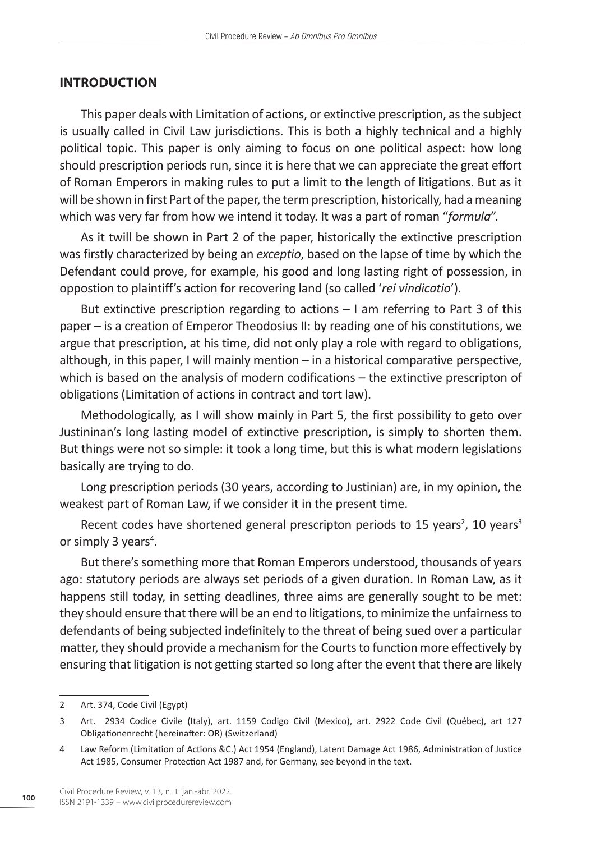#### **INTRODUCTION**

This paper deals with Limitation of actions, or extinctive prescription, as the subject is usually called in Civil Law jurisdictions. This is both a highly technical and a highly political topic. This paper is only aiming to focus on one political aspect: how long should prescription periods run, since it is here that we can appreciate the great effort of Roman Emperors in making rules to put a limit to the length of litigations. But as it will be shown in first Part of the paper, the term prescription, historically, had a meaning which was very far from how we intend it today. It was a part of roman "*formula*".

As it twill be shown in Part 2 of the paper, historically the extinctive prescription was firstly characterized by being an *exceptio*, based on the lapse of time by which the Defendant could prove, for example, his good and long lasting right of possession, in oppostion to plaintiff's action for recovering land (so called '*rei vindicatio*').

But extinctive prescription regarding to actions – I am referring to Part 3 of this paper – is a creation of Emperor Theodosius II: by reading one of his constitutions, we argue that prescription, at his time, did not only play a role with regard to obligations, although, in this paper, I will mainly mention – in a historical comparative perspective, which is based on the analysis of modern codifications – the extinctive prescripton of obligations (Limitation of actions in contract and tort law).

Methodologically, as I will show mainly in Part 5, the first possibility to geto over Justininan's long lasting model of extinctive prescription, is simply to shorten them. But things were not so simple: it took a long time, but this is what modern legislations basically are trying to do.

Long prescription periods (30 years, according to Justinian) are, in my opinion, the weakest part of Roman Law, if we consider it in the present time.

Recent codes have shortened general prescripton periods to 15 years<sup>2</sup>, 10 years<sup>3</sup> or simply 3 years<sup>4</sup>.

But there's something more that Roman Emperors understood, thousands of years ago: statutory periods are always set periods of a given duration. In Roman Law, as it happens still today, in setting deadlines, three aims are generally sought to be met: they should ensure that there will be an end to litigations, to minimize the unfairness to defendants of being subjected indefinitely to the threat of being sued over a particular matter, they should provide a mechanism for the Courts to function more effectively by ensuring that litigation is not getting started so long after the event that there are likely

<sup>2</sup> Art. 374, Code Civil (Egypt)

<sup>3</sup> Art. 2934 Codice Civile (Italy), art. 1159 Codigo Civil (Mexico), art. 2922 Code Civil (Québec), art 127 Obligationenrecht (hereinafter: OR) (Switzerland)

<sup>4</sup> Law Reform (Limitation of Actions &C.) Act 1954 (England), Latent Damage Act 1986, Administration of Justice Act 1985, Consumer Protection Act 1987 and, for Germany, see beyond in the text.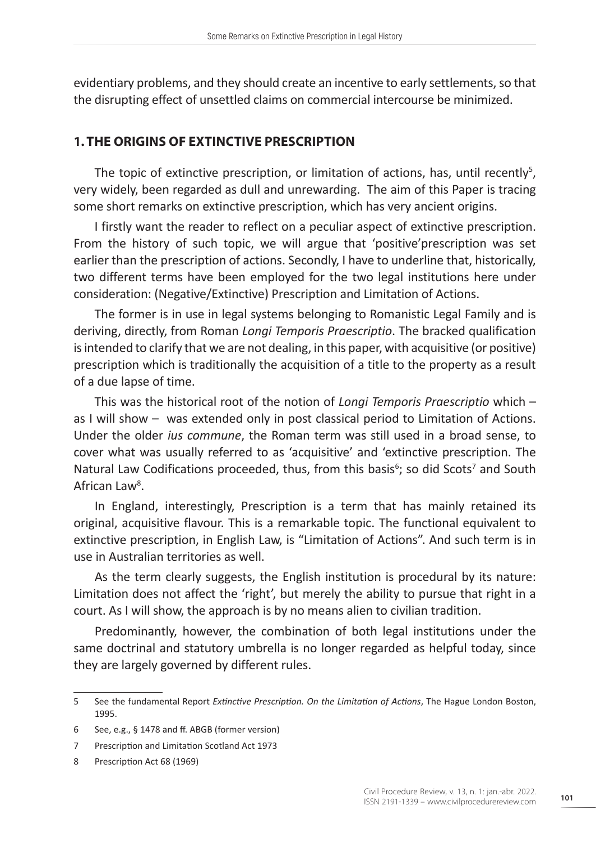evidentiary problems, and they should create an incentive to early settlements, so that the disrupting effect of unsettled claims on commercial intercourse be minimized.

# **1. THE ORIGINS OF EXTINCTIVE PRESCRIPTION**

The topic of extinctive prescription, or limitation of actions, has, until recently<sup>5</sup>, very widely, been regarded as dull and unrewarding. The aim of this Paper is tracing some short remarks on extinctive prescription, which has very ancient origins.

I firstly want the reader to reflect on a peculiar aspect of extinctive prescription. From the history of such topic, we will argue that 'positive'prescription was set earlier than the prescription of actions. Secondly, I have to underline that, historically, two different terms have been employed for the two legal institutions here under consideration: (Negative/Extinctive) Prescription and Limitation of Actions.

The former is in use in legal systems belonging to Romanistic Legal Family and is deriving, directly, from Roman *Longi Temporis Praescriptio*. The bracked qualification is intended to clarify that we are not dealing, in this paper, with acquisitive (or positive) prescription which is traditionally the acquisition of a title to the property as a result of a due lapse of time.

This was the historical root of the notion of *Longi Temporis Praescriptio* which – as I will show – was extended only in post classical period to Limitation of Actions. Under the older *ius commune*, the Roman term was still used in a broad sense, to cover what was usually referred to as 'acquisitive' and 'extinctive prescription. The Natural Law Codifications proceeded, thus, from this basis $<sup>6</sup>$ ; so did Scots<sup>7</sup> and South</sup> African Law<sup>8</sup>.

In England, interestingly, Prescription is a term that has mainly retained its original, acquisitive flavour. This is a remarkable topic. The functional equivalent to extinctive prescription, in English Law, is "Limitation of Actions". And such term is in use in Australian territories as well.

As the term clearly suggests, the English institution is procedural by its nature: Limitation does not affect the 'right', but merely the ability to pursue that right in a court. As I will show, the approach is by no means alien to civilian tradition.

Predominantly, however, the combination of both legal institutions under the same doctrinal and statutory umbrella is no longer regarded as helpful today, since they are largely governed by different rules.

<sup>5</sup> See the fundamental Report *Extinctive Prescription. On the Limitation of Actions*, The Hague London Boston, 1995.

<sup>6</sup> See, e.g., § 1478 and ff. ABGB (former version)

<sup>7</sup> Prescription and Limitation Scotland Act 1973

<sup>8</sup> Prescription Act 68 (1969)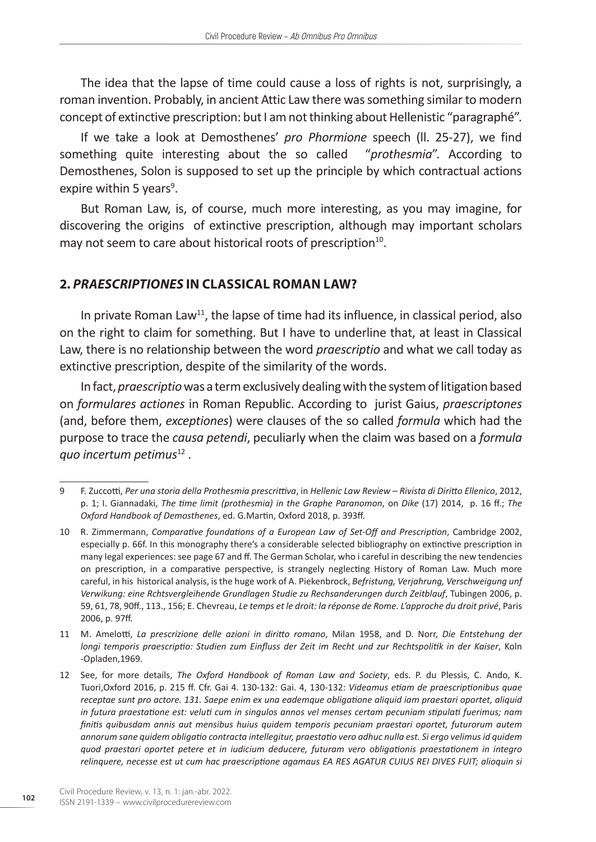The idea that the lapse of time could cause a loss of rights is not, surprisingly, a roman invention. Probably, in ancient Attic Law there was something similar to modern concept of extinctive prescription: but I am not thinking about Hellenistic "paragraphé".

If we take a look at Demosthenes' *pro Phormione* speech (ll. 25-27), we find something quite interesting about the so called "*prothesmia*". According to Demosthenes, Solon is supposed to set up the principle by which contractual actions expire within 5 years<sup>9</sup>.

But Roman Law, is, of course, much more interesting, as you may imagine, for discovering the origins of extinctive prescription, although may important scholars may not seem to care about historical roots of prescription<sup>10</sup>.

## **2.** *PRAESCRIPTIONES* **IN CLASSICAL ROMAN LAW?**

In private Roman Law<sup>11</sup>, the lapse of time had its influence, in classical period, also on the right to claim for something. But I have to underline that, at least in Classical Law, there is no relationship between the word *praescriptio* and what we call today as extinctive prescription, despite of the similarity of the words.

In fact, *praescriptio* was a term exclusively dealing with the system of litigation based on *formulares actiones* in Roman Republic. According to jurist Gaius, *praescriptones*  (and, before them, *exceptiones*) were clauses of the so called *formula* which had the purpose to trace the *causa petendi*, peculiarly when the claim was based on a *formula quo incertum petimus*<sup>12</sup> .

<sup>9</sup> F. Zuccotti, *Per una storia della Prothesmia prescrittiva*, in *Hellenic Law Review – Rivista di Diritto Ellenico*, 2012, p. 1; I. Giannadaki, *The time limit (prothesmia) in the Graphe Paranomon*, on *Dike* (17) 2014, p. 16 ff.; *The Oxford Handbook of Demosthenes*, ed. G.Martin, Oxford 2018, p. 393ff.

<sup>10</sup> R. Zimmermann, *Comparative foundations of a European Law of Set-Off and Prescription*, Cambridge 2002, especially p. 66f. In this monography there's a considerable selected bibliography on extinctive prescription in many legal experiences: see page 67 and ff. The German Scholar, who i careful in describing the new tendencies on prescription, in a comparative perspective, is strangely neglecting History of Roman Law. Much more careful, in his historical analysis, is the huge work of A. Piekenbrock, *Befristung, Verjahrung, Verschweigung unf Verwikung: eine Rchtsvergleihende Grundlagen Studie zu Rechsanderungen durch Zeitblauf*, Tubingen 2006, p. 59, 61, 78, 90ff., 113., 156; E. Chevreau, *Le temps et le droit: la réponse de Rome. L'approche du droit privé*, Paris 2006, p. 97ff.

<sup>11</sup> M. Amelotti, *La prescrizione delle azioni in diritto romano*, Milan 1958, and D. Norr, *Die Entstehung der longi temporis praescriptio: Studien zum Einfluss der Zeit im Recht und zur Rechtspolitik in der Kaiser*, Koln -Opladen,1969.

<sup>12</sup> See, for more details, *The Oxford Handbook of Roman Law and Society*, eds. P. du Plessis, C. Ando, K. Tuori,Oxford 2016, p. 215 ff. Cfr. Gai 4. 130-132: Gai. 4, 130-132: *Videamus etiam de praescriptionibus quae receptae sunt pro actore. 131. Saepe enim ex una eademque obligatione aliquid iam praestari oportet, aliquid in futura praestatione est: veluti cum in singulos annos vel menses certam pecuniam stipulati fuerimus; nam finitis quibusdam annis aut mensibus huius quidem temporis pecuniam praestari oportet, futurorum autem annorum sane quidem obligatio contracta intellegitur, praestatio vero adhuc nulla est. Si ergo velimus id quidem quod praestari oportet petere et in iudicium deducere, futuram vero obligationis praestationem in integro relinquere, necesse est ut cum hac praescriptione agamaus EA RES AGATUR CUIUS REI DIVES FUIT; alioquin si*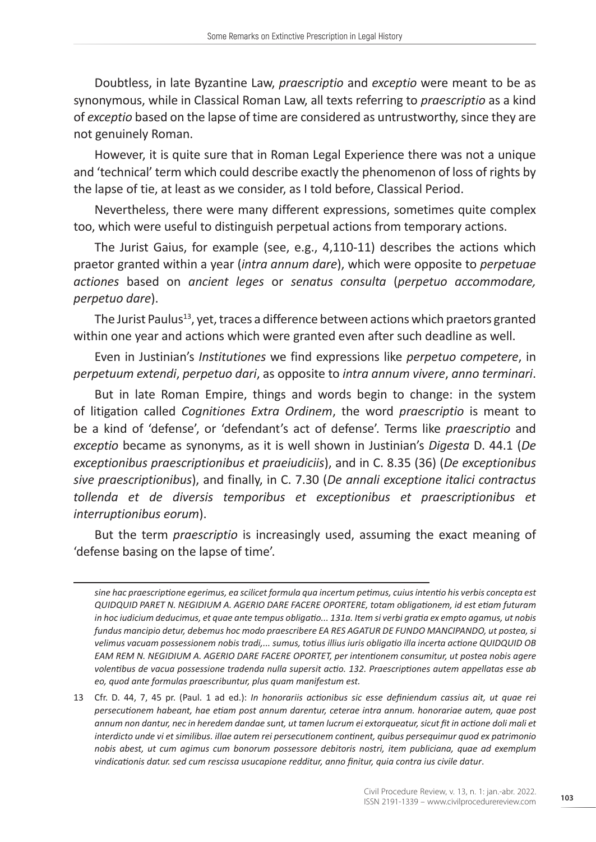Doubtless, in late Byzantine Law, *praescriptio* and *exceptio* were meant to be as synonymous, while in Classical Roman Law, all texts referring to *praescriptio* as a kind of *exceptio* based on the lapse of time are considered as untrustworthy, since they are not genuinely Roman.

However, it is quite sure that in Roman Legal Experience there was not a unique and 'technical' term which could describe exactly the phenomenon of loss of rights by the lapse of tie, at least as we consider, as I told before, Classical Period.

Nevertheless, there were many different expressions, sometimes quite complex too, which were useful to distinguish perpetual actions from temporary actions.

The Jurist Gaius, for example (see, e.g., 4,110-11) describes the actions which praetor granted within a year (*intra annum dare*), which were opposite to *perpetuae actiones* based on *ancient leges* or *senatus consulta* (*perpetuo accommodare, perpetuo dare*).

The Jurist Paulus<sup>13</sup>, yet, traces a difference between actions which praetors granted within one year and actions which were granted even after such deadline as well.

Even in Justinian's *Institutiones* we find expressions like *perpetuo competere*, in *perpetuum extendi*, *perpetuo dari*, as opposite to *intra annum vivere*, *anno terminari*.

But in late Roman Empire, things and words begin to change: in the system of litigation called *Cognitiones Extra Ordinem*, the word *praescriptio* is meant to be a kind of 'defense', or 'defendant's act of defense'. Terms like *praescriptio* and *exceptio* became as synonyms, as it is well shown in Justinian's *Digesta* D. 44.1 (*De exceptionibus praescriptionibus et praeiudiciis*), and in C. 8.35 (36) (*De exceptionibus sive praescriptionibus*), and finally, in C. 7.30 (*De annali exceptione italici contractus tollenda et de diversis temporibus et exceptionibus et praescriptionibus et interruptionibus eorum*).

But the term *praescriptio* is increasingly used, assuming the exact meaning of 'defense basing on the lapse of time'.

*sine hac praescriptione egerimus, ea scilicet formula qua incertum petimus, cuius intentio his verbis concepta est QUIDQUID PARET N. NEGIDIUM A. AGERIO DARE FACERE OPORTERE, totam obligationem, id est etiam futuram in hoc iudicium deducimus, et quae ante tempus obligatio... 131a. Item si verbi gratia ex empto agamus, ut nobis fundus mancipio detur, debemus hoc modo praescribere EA RES AGATUR DE FUNDO MANCIPANDO, ut postea, si velimus vacuam possessionem nobis tradi,... sumus, totius illius iuris obligatio illa incerta actione QUIDQUID OB EAM REM N. NEGIDIUM A. AGERIO DARE FACERE OPORTET, per intentionem consumitur, ut postea nobis agere volentibus de vacua possessione tradenda nulla supersit actio. 132. Praescriptiones autem appellatas esse ab eo, quod ante formulas praescribuntur, plus quam manifestum est.*

<sup>13</sup> Cfr. D. 44, 7, 45 pr. (Paul. 1 ad ed.): *In honorariis actionibus sic esse definiendum cassius ait, ut quae rei persecutionem habeant, hae etiam post annum darentur, ceterae intra annum. honorariae autem, quae post annum non dantur, nec in heredem dandae sunt, ut tamen lucrum ei extorqueatur, sicut fit in actione doli mali et interdicto unde vi et similibus. illae autem rei persecutionem continent, quibus persequimur quod ex patrimonio nobis abest, ut cum agimus cum bonorum possessore debitoris nostri, item publiciana, quae ad exemplum vindicationis datur. sed cum rescissa usucapione redditur, anno finitur, quia contra ius civile datur*.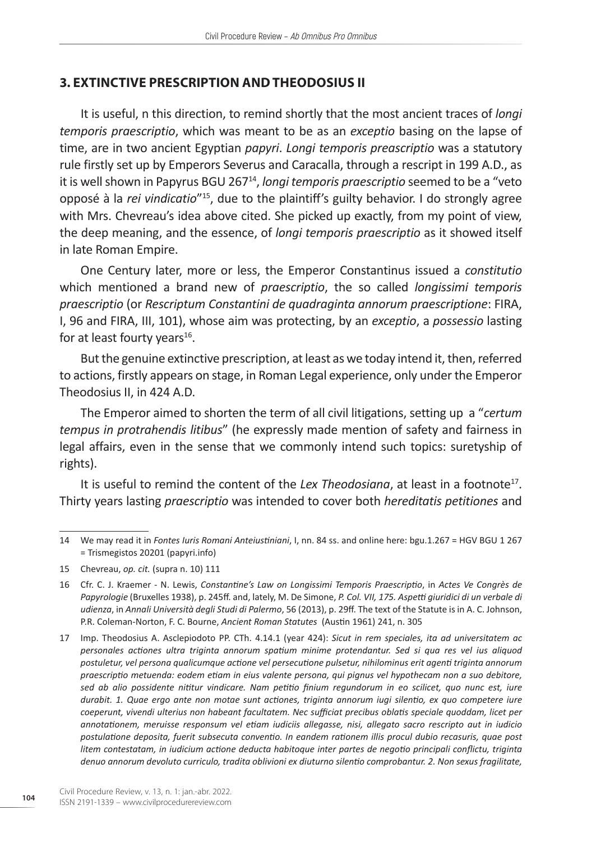#### **3. EXTINCTIVE PRESCRIPTION AND THEODOSIUS II**

It is useful, n this direction, to remind shortly that the most ancient traces of *longi temporis praescriptio*, which was meant to be as an *exceptio* basing on the lapse of time, are in two ancient Egyptian *papyri*. *Longi temporis preascriptio* was a statutory rule firstly set up by Emperors Severus and Caracalla, through a rescript in 199 A.D., as it is well shown in Papyrus BGU 26714, *longi temporis praescriptio* seemed to be a "veto opposé à la *rei vindicatio*"<sup>15</sup>, due to the plaintiff's guilty behavior. I do strongly agree with Mrs. Chevreau's idea above cited. She picked up exactly, from my point of view, the deep meaning, and the essence, of *longi temporis praescriptio* as it showed itself in late Roman Empire.

One Century later, more or less, the Emperor Constantinus issued a *constitutio* which mentioned a brand new of *praescriptio*, the so called *longissimi temporis praescriptio* (or *Rescriptum Constantini de quadraginta annorum praescriptione*: FIRA, I, 96 and FIRA, III, 101), whose aim was protecting, by an *exceptio*, a *possessio* lasting for at least fourty years $16$ .

But the genuine extinctive prescription, at least as we today intend it, then, referred to actions, firstly appears on stage, in Roman Legal experience, only under the Emperor Theodosius II, in 424 A.D.

The Emperor aimed to shorten the term of all civil litigations, setting up a "*certum tempus in protrahendis litibus*" (he expressly made mention of safety and fairness in legal affairs, even in the sense that we commonly intend such topics: suretyship of rights).

It is useful to remind the content of the *Lex Theodosiana*, at least in a footnote<sup>17</sup>. Thirty years lasting *praescriptio* was intended to cover both *hereditatis petitiones* and

<sup>14</sup> We may read it in *Fontes Iuris Romani Anteiustiniani*, I, nn. 84 ss. and online here: bgu.1.267 = HGV BGU 1 267 = Trismegistos 20201 (papyri.info)

<sup>15</sup> Chevreau, *op. cit.* (supra n. 10) 111

<sup>16</sup> Cfr. C. J. Kraemer - N. Lewis, *Constantine's Law on Longissimi Temporis Praescriptio*, in *Actes Ve Congrès de Papyrologie* (Bruxelles 1938), p. 245ff. and, lately, M. De Simone, *P. Col. VII, 175. Aspetti giuridici di un verbale di udienza*, in *Annali Università degli Studi di Palermo*, 56 (2013), p. 29ff. The text of the Statute is in A. C. Johnson, P.R. Coleman-Norton, F. C. Bourne, *Ancient Roman Statutes* (Austin 1961) 241, n. 305

<sup>17</sup> Imp. Theodosius A. Asclepiodoto PP. CTh. 4.14.1 (year 424): *Sicut in rem speciales, ita ad universitatem ac personales actiones ultra triginta annorum spatium minime protendantur. Sed si qua res vel ius aliquod postuletur, vel persona qualicumque actione vel persecutione pulsetur, nihilominus erit agenti triginta annorum praescriptio metuenda: eodem etiam in eius valente persona, qui pignus vel hypothecam non a suo debitore, sed ab alio possidente nititur vindicare. Nam petitio finium regundorum in eo scilicet, quo nunc est, iure durabit. 1. Quae ergo ante non motae sunt actiones, triginta annorum iugi silentio, ex quo competere iure coeperunt, vivendi ulterius non habeant facultatem. Nec sufficiat precibus oblatis speciale quoddam, licet per annotationem, meruisse responsum vel etiam iudiciis allegasse, nisi, allegato sacro rescripto aut in iudicio postulatione deposita, fuerit subsecuta conventio. In eandem rationem illis procul dubio recasuris, quae post litem contestatam, in iudicium actione deducta habitoque inter partes de negotio principali conflictu, triginta denuo annorum devoluto curriculo, tradita oblivioni ex diuturno silentio comprobantur. 2. Non sexus fragilitate,*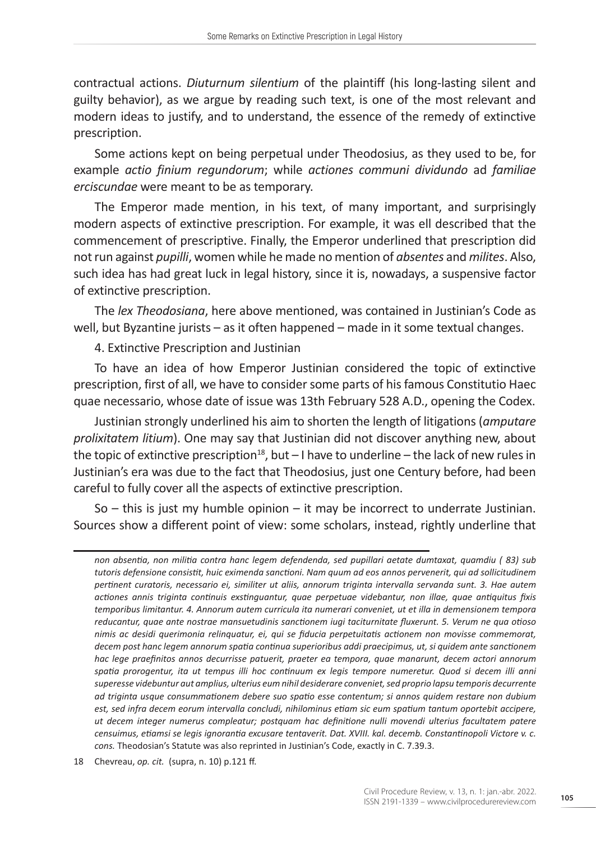contractual actions. *Diuturnum silentium* of the plaintiff (his long-lasting silent and guilty behavior), as we argue by reading such text, is one of the most relevant and modern ideas to justify, and to understand, the essence of the remedy of extinctive prescription.

Some actions kept on being perpetual under Theodosius, as they used to be, for example *actio finium regundorum*; while *actiones communi dividundo* ad *familiae erciscundae* were meant to be as temporary.

The Emperor made mention, in his text, of many important, and surprisingly modern aspects of extinctive prescription. For example, it was ell described that the commencement of prescriptive. Finally, the Emperor underlined that prescription did not run against *pupilli*, women while he made no mention of *absentes* and *milites*. Also, such idea has had great luck in legal history, since it is, nowadays, a suspensive factor of extinctive prescription.

The *lex Theodosiana*, here above mentioned, was contained in Justinian's Code as well, but Byzantine jurists – as it often happened – made in it some textual changes.

4. Extinctive Prescription and Justinian

To have an idea of how Emperor Justinian considered the topic of extinctive prescription, first of all, we have to consider some parts of his famous Constitutio Haec quae necessario, whose date of issue was 13th February 528 A.D., opening the Codex.

Justinian strongly underlined his aim to shorten the length of litigations (*amputare prolixitatem litium*). One may say that Justinian did not discover anything new, about the topic of extinctive prescription<sup>18</sup>, but  $-1$  have to underline  $-$  the lack of new rules in Justinian's era was due to the fact that Theodosius, just one Century before, had been careful to fully cover all the aspects of extinctive prescription.

So – this is just my humble opinion – it may be incorrect to underrate Justinian. Sources show a different point of view: some scholars, instead, rightly underline that

*non absentia, non militia contra hanc legem defendenda, sed pupillari aetate dumtaxat, quamdiu ( 83) sub tutoris defensione consistit, huic eximenda sanctioni. Nam quum ad eos annos pervenerit, qui ad sollicitudinem pertinent curatoris, necessario ei, similiter ut aliis, annorum triginta intervalla servanda sunt. 3. Hae autem actiones annis triginta continuis exstinguantur, quae perpetuae videbantur, non illae, quae antiquitus fixis temporibus limitantur. 4. Annorum autem curricula ita numerari conveniet, ut et illa in demensionem tempora reducantur, quae ante nostrae mansuetudinis sanctionem iugi taciturnitate fluxerunt. 5. Verum ne qua otioso nimis ac desidi querimonia relinquatur, ei, qui se fiducia perpetuitatis actionem non movisse commemorat, decem post hanc legem annorum spatia continua superioribus addi praecipimus, ut, si quidem ante sanctionem hac lege praefinitos annos decurrisse patuerit, praeter ea tempora, quae manarunt, decem actori annorum spatia prorogentur, ita ut tempus illi hoc continuum ex legis tempore numeretur. Quod si decem illi anni superesse videbuntur aut amplius, ulterius eum nihil desiderare conveniet, sed proprio lapsu temporis decurrente ad triginta usque consummationem debere suo spatio esse contentum; si annos quidem restare non dubium est, sed infra decem eorum intervalla concludi, nihilominus etiam sic eum spatium tantum oportebit accipere, ut decem integer numerus compleatur; postquam hac definitione nulli movendi ulterius facultatem patere censuimus, etiamsi se legis ignorantia excusare tentaverit. Dat. XVIII. kal. decemb. Constantinopoli Victore v. c. cons.* Theodosian's Statute was also reprinted in Justinian's Code, exactly in C. 7.39.3.

<sup>18</sup> Chevreau, *op. cit.* (supra, n. 10) p.121 ff.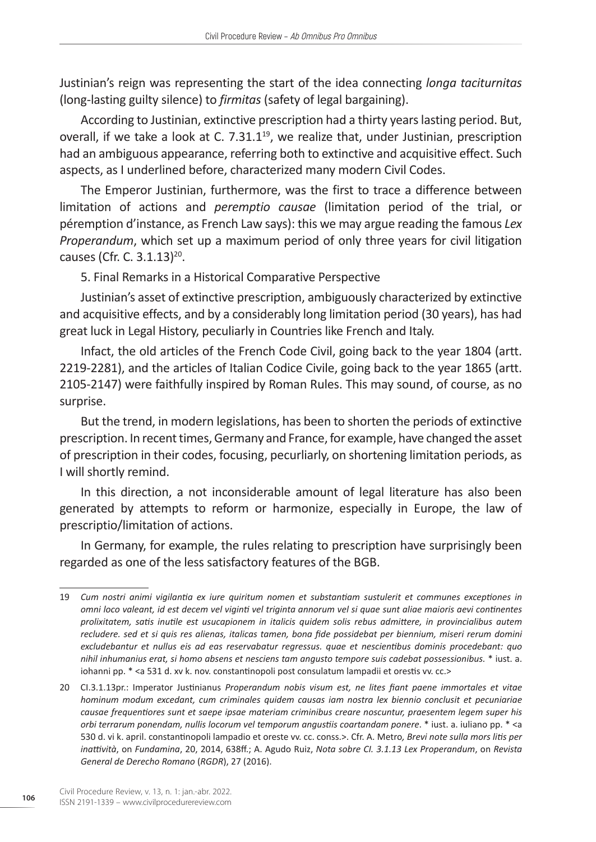Justinian's reign was representing the start of the idea connecting *longa taciturnitas* (long-lasting guilty silence) to *firmitas* (safety of legal bargaining).

According to Justinian, extinctive prescription had a thirty years lasting period. But, overall, if we take a look at C. 7.31.1<sup>19</sup>, we realize that, under Justinian, prescription had an ambiguous appearance, referring both to extinctive and acquisitive effect. Such aspects, as I underlined before, characterized many modern Civil Codes.

The Emperor Justinian, furthermore, was the first to trace a difference between limitation of actions and *peremptio causae* (limitation period of the trial, or péremption d'instance, as French Law says): this we may argue reading the famous *Lex Properandum*, which set up a maximum period of only three years for civil litigation causes (Cfr. C. 3.1.13)<sup>20</sup>.

5. Final Remarks in a Historical Comparative Perspective

Justinian's asset of extinctive prescription, ambiguously characterized by extinctive and acquisitive effects, and by a considerably long limitation period (30 years), has had great luck in Legal History, peculiarly in Countries like French and Italy.

Infact, the old articles of the French Code Civil, going back to the year 1804 (artt. 2219-2281), and the articles of Italian Codice Civile, going back to the year 1865 (artt. 2105-2147) were faithfully inspired by Roman Rules. This may sound, of course, as no surprise.

But the trend, in modern legislations, has been to shorten the periods of extinctive prescription. In recent times, Germany and France, for example, have changed the asset of prescription in their codes, focusing, pecurliarly, on shortening limitation periods, as I will shortly remind.

In this direction, a not inconsiderable amount of legal literature has also been generated by attempts to reform or harmonize, especially in Europe, the law of prescriptio/limitation of actions.

In Germany, for example, the rules relating to prescription have surprisingly been regarded as one of the less satisfactory features of the BGB.

<sup>19</sup> *Cum nostri animi vigilantia ex iure quiritum nomen et substantiam sustulerit et communes exceptiones in omni loco valeant, id est decem vel viginti vel triginta annorum vel si quae sunt aliae maioris aevi continentes prolixitatem, satis inutile est usucapionem in italicis quidem solis rebus admittere, in provincialibus autem recludere. sed et si quis res alienas, italicas tamen, bona fide possidebat per biennium, miseri rerum domini excludebantur et nullus eis ad eas reservabatur regressus. quae et nescientibus dominis procedebant: quo nihil inhumanius erat, si homo absens et nesciens tam angusto tempore suis cadebat possessionibus.* \* iust. a. iohanni pp. \* <a 531 d. xv k. nov. constantinopoli post consulatum lampadii et orestis vv. cc.>

<sup>20</sup> CI.3.1.13pr.: Imperator Justinianus *Properandum nobis visum est, ne lites fiant paene immortales et vitae hominum modum excedant, cum criminales quidem causas iam nostra lex biennio conclusit et pecuniariae causae frequentiores sunt et saepe ipsae materiam criminibus creare noscuntur, praesentem legem super his orbi terrarum ponendam, nullis locorum vel temporum angustiis coartandam ponere*. \* iust. a. iuliano pp. \* <a 530 d. vi k. april. constantinopoli lampadio et oreste vv. cc. conss.>. Cfr. A. Metro*, Brevi note sulla mors litis per inattività*, on *Fundamina*, 20, 2014, 638ff.; A. Agudo Ruiz, *Nota sobre CI. 3.1.13 Lex Properandum*, on *Revista General de Derecho Romano* (*RGDR*), 27 (2016).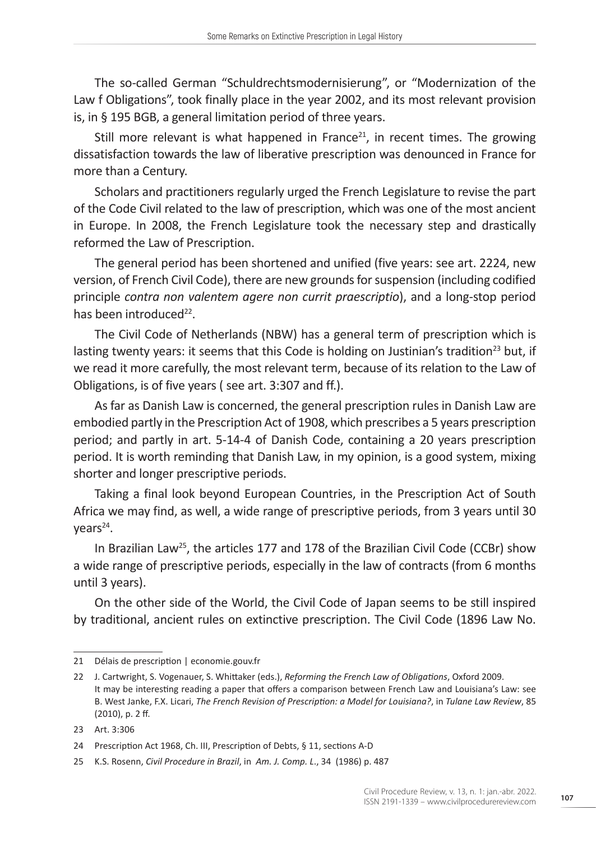The so-called German "Schuldrechtsmodernisierung", or "Modernization of the Law f Obligations", took finally place in the year 2002, and its most relevant provision is, in § 195 BGB, a general limitation period of three years.

Still more relevant is what happened in France<sup>21</sup>, in recent times. The growing dissatisfaction towards the law of liberative prescription was denounced in France for more than a Century.

Scholars and practitioners regularly urged the French Legislature to revise the part of the Code Civil related to the law of prescription, which was one of the most ancient in Europe. In 2008, the French Legislature took the necessary step and drastically reformed the Law of Prescription.

The general period has been shortened and unified (five years: see art. 2224, new version, of French Civil Code), there are new grounds for suspension (including codified principle *contra non valentem agere non currit praescriptio*), and a long-stop period has been introduced<sup>22</sup>.

The Civil Code of Netherlands (NBW) has a general term of prescription which is lasting twenty years: it seems that this Code is holding on Justinian's tradition<sup>23</sup> but, if we read it more carefully, the most relevant term, because of its relation to the Law of Obligations, is of five years ( see art. 3:307 and ff.).

As far as Danish Law is concerned, the general prescription rules in Danish Law are embodied partly in the Prescription Act of 1908, which prescribes a 5 years prescription period; and partly in art. 5-14-4 of Danish Code, containing a 20 years prescription period. It is worth reminding that Danish Law, in my opinion, is a good system, mixing shorter and longer prescriptive periods.

Taking a final look beyond European Countries, in the Prescription Act of South Africa we may find, as well, a wide range of prescriptive periods, from 3 years until 30  $years<sup>24</sup>$ .

In Brazilian Law<sup>25</sup>, the articles 177 and 178 of the Brazilian Civil Code (CCBr) show a wide range of prescriptive periods, especially in the law of contracts (from 6 months until 3 years).

On the other side of the World, the Civil Code of Japan seems to be still inspired by traditional, ancient rules on extinctive prescription. The Civil Code (1896 Law No.

<sup>21</sup> Délais de prescription | economie.gouv.fr

<sup>22</sup> J. Cartwright, S. Vogenauer, S. Whittaker (eds.), *Reforming the French Law of Obligations*, Oxford 2009. It may be interesting reading a paper that offers a comparison between French Law and Louisiana's Law: see B. West Janke, F.X. Licari, *The French Revision of Prescription: a Model for Louisiana?*, in *Tulane Law Review*, 85 (2010), p. 2 ff.

<sup>23</sup> Art. 3:306

<sup>24</sup> Prescription Act 1968, Ch. III, Prescription of Debts, § 11, sections A-D

<sup>25</sup> K.S. Rosenn, *Civil Procedure in Brazil*, in *Am. J. Comp. L*., 34 (1986) p. 487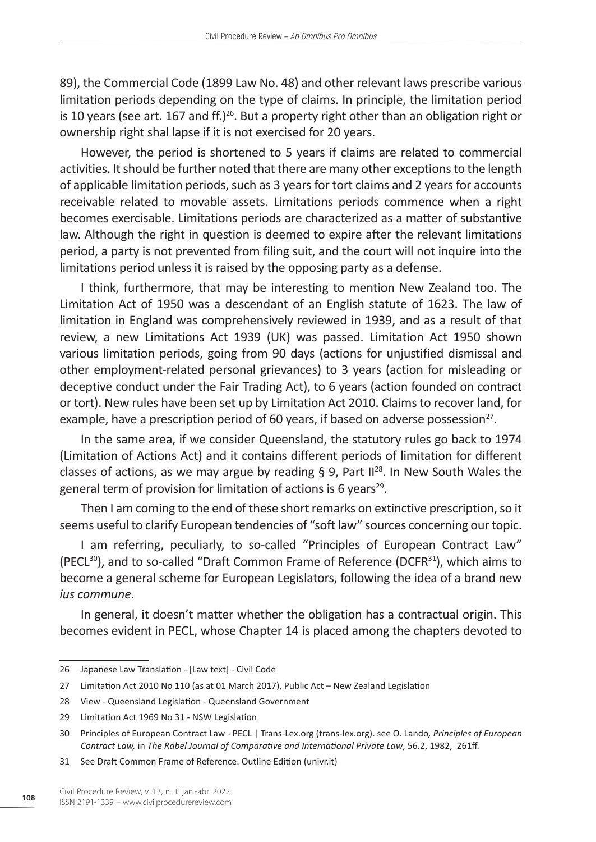89), the Commercial Code (1899 Law No. 48) and other relevant laws prescribe various limitation periods depending on the type of claims. In principle, the limitation period is 10 years (see art. 167 and ff.)<sup>26</sup>. But a property right other than an obligation right or ownership right shal lapse if it is not exercised for 20 years.

However, the period is shortened to 5 years if claims are related to commercial activities. It should be further noted that there are many other exceptions to the length of applicable limitation periods, such as 3 years for tort claims and 2 years for accounts receivable related to movable assets. Limitations periods commence when a right becomes exercisable. Limitations periods are characterized as a matter of substantive law. Although the right in question is deemed to expire after the relevant limitations period, a party is not prevented from filing suit, and the court will not inquire into the limitations period unless it is raised by the opposing party as a defense.

I think, furthermore, that may be interesting to mention New Zealand too. The Limitation Act of 1950 was a descendant of an English statute of 1623. The law of limitation in England was comprehensively reviewed in 1939, and as a result of that review, a new Limitations Act 1939 (UK) was passed. Limitation Act 1950 shown various limitation periods, going from 90 days (actions for unjustified dismissal and other employment-related personal grievances) to 3 years (action for misleading or deceptive conduct under the Fair Trading Act), to 6 years (action founded on contract or tort). New rules have been set up by Limitation Act 2010. Claims to recover land, for example, have a prescription period of 60 years, if based on adverse possession<sup>27</sup>.

In the same area, if we consider Queensland, the statutory rules go back to 1974 (Limitation of Actions Act) and it contains different periods of limitation for different classes of actions, as we may argue by reading § 9, Part  $II^{28}$ . In New South Wales the general term of provision for limitation of actions is 6 years<sup>29</sup>.

Then I am coming to the end of these short remarks on extinctive prescription, so it seems useful to clarify European tendencies of "soft law" sources concerning our topic.

I am referring, peculiarly, to so-called "Principles of European Contract Law" (PECL<sup>30</sup>), and to so-called "Draft Common Frame of Reference (DCFR<sup>31</sup>), which aims to become a general scheme for European Legislators, following the idea of a brand new *ius commune*.

In general, it doesn't matter whether the obligation has a contractual origin. This becomes evident in PECL, whose Chapter 14 is placed among the chapters devoted to

<sup>26</sup> Japanese Law Translation - [Law text] - Civil Code

<sup>27</sup> Limitation Act 2010 No 110 (as at 01 March 2017), Public Act – New Zealand Legislation

<sup>28</sup> View - Queensland Legislation - Queensland Government

<sup>29</sup> Limitation Act 1969 No 31 - NSW Legislation

<sup>30</sup> Principles of European Contract Law - PECL | Trans-Lex.org (trans-lex.org). see O. Lando*, Principles of European Contract Law,* in *The Rabel Journal of Comparative and International Private Law*, 56.2, 1982, 261ff.

<sup>31</sup> See Draft Common Frame of Reference. Outline Edition (univr.it)